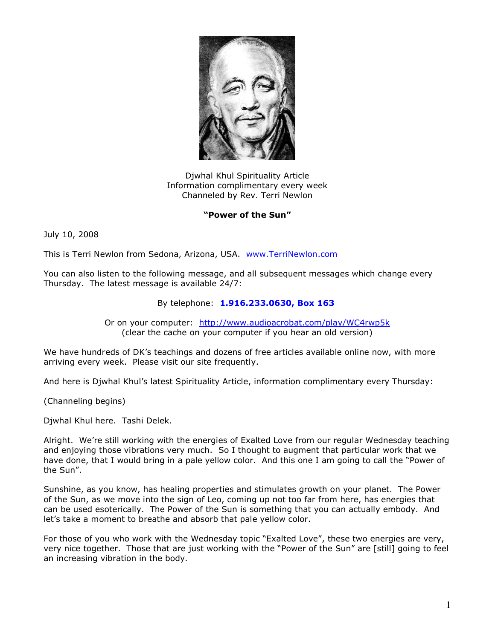

Djwhal Khul Spirituality Article Information complimentary every week Channeled by Rev. Terri Newlon

## **"Power of the Sun"**

July 10, 2008

This is Terri Newlon from Sedona, Arizona, USA. [www.TerriNewlon.com](http://www.terrinewlon.com/)

You can also listen to the following message, and all subsequent messages which change every Thursday. The latest message is available 24/7:

## By telephone: **1.916.233.0630, Box 163**

Or on your computer: <http://www.audioacrobat.com/play/WC4rwp5k> (clear the cache on your computer if you hear an old version)

We have hundreds of DK's teachings and dozens of free articles available online now, with more arriving every week. Please visit our site frequently.

And here is Djwhal Khul's latest Spirituality Article, information complimentary every Thursday:

(Channeling begins)

Djwhal Khul here. Tashi Delek.

Alright. We're still working with the energies of Exalted Love from our regular Wednesday teaching and enjoying those vibrations very much. So I thought to augment that particular work that we have done, that I would bring in a pale yellow color. And this one I am going to call the "Power of the Sun".

Sunshine, as you know, has healing properties and stimulates growth on your planet. The Power of the Sun, as we move into the sign of Leo, coming up not too far from here, has energies that can be used esoterically. The Power of the Sun is something that you can actually embody. And let's take a moment to breathe and absorb that pale yellow color.

For those of you who work with the Wednesday topic "Exalted Love", these two energies are very, very nice together. Those that are just working with the "Power of the Sun" are [still] going to feel an increasing vibration in the body.